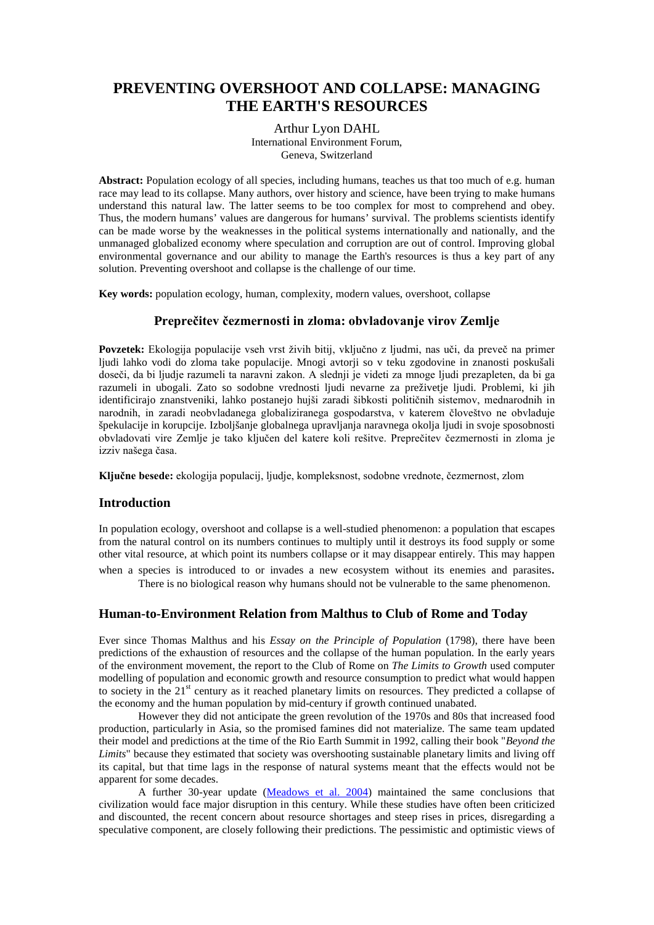# **PREVENTING OVERSHOOT AND COLLAPSE: MANAGING THE EARTH'S RESOURCES**

#### Arthur Lyon DAHL International Environment Forum, Geneva, Switzerland

**Abstract:** Population ecology of all species, including humans, teaches us that too much of e.g. human race may lead to its collapse. Many authors, over history and science, have been trying to make humans understand this natural law. The latter seems to be too complex for most to comprehend and obey. Thus, the modern humans' values are dangerous for humans' survival. The problems scientists identify can be made worse by the weaknesses in the political systems internationally and nationally, and the unmanaged globalized economy where speculation and corruption are out of control. Improving global environmental governance and our ability to manage the Earth's resources is thus a key part of any solution. Preventing overshoot and collapse is the challenge of our time.

**Key words:** population ecology, human, complexity, modern values, overshoot, collapse

## **Preprečitev čezmernosti in zloma: obvladovanje virov Zemlje**

**Povzetek:** Ekologija populacije vseh vrst živih bitij, vključno z ljudmi, nas uči, da preveč na primer ljudi lahko vodi do zloma take populacije. Mnogi avtorji so v teku zgodovine in znanosti poskušali doseči, da bi ljudje razumeli ta naravni zakon. A slednji je videti za mnoge ljudi prezapleten, da bi ga razumeli in ubogali. Zato so sodobne vrednosti ljudi nevarne za preživetje ljudi. Problemi, ki jih identificirajo znanstveniki, lahko postanejo hujši zaradi šibkosti političnih sistemov, mednarodnih in narodnih, in zaradi neobvladanega globaliziranega gospodarstva, v katerem človeštvo ne obvladuje špekulacije in korupcije. Izboljšanje globalnega upravljanja naravnega okolja ljudi in svoje sposobnosti obvladovati vire Zemlje je tako ključen del katere koli rešitve. Preprečitev čezmernosti in zloma je izziv našega časa.

**Ključne besede:** ekologija populacij, ljudje, kompleksnost, sodobne vrednote, čezmernost, zlom

### **Introduction**

In population ecology, overshoot and collapse is a well-studied phenomenon: a population that escapes from the natural control on its numbers continues to multiply until it destroys its food supply or some other vital resource, at which point its numbers collapse or it may disappear entirely. This may happen

when a species is introduced to or invades a new ecosystem without its enemies and parasites.<br>There is no biological reason why humans should not be vulnerable to the same phenomenon.

## **Human-to-Environment Relation from Malthus to Club of Rome and Today**

Ever since Thomas Malthus and his *Essay on the Principle of Population* (1798), there have been predictions of the exhaustion of resources and the collapse of the human population. In the early years of the environment movement, the report to the Club of Rome on *The Limits to Growth* used computer modelling of population and economic growth and resource consumption to predict what would happen to society in the 21<sup>st</sup> century as it reached planetary limits on resources. They predicted a collapse of the economy and the human population by mid-century if growth continued unabated.

However they did not anticipate the green revolution of the 1970s and 80s that increased food production, particularly in Asia, so the promised famines did not materialize. The same team updated their model and predictions at the time of the Rio Earth Summit in 1992, calling their book "*Beyond the Limits*" because they estimated that society was overshooting sustainable planetary limits and living off its capital, but that time lags in the response of natural systems meant that the effects would not be apparent for some decades.

A further 30-year update [\(Meadows et al. 2004\)](http://www.bcca.org/ief/doc/ddahl08d.htm#Meadows_etal2004) maintained the same conclusions that civilization would face major disruption in this century. While these studies have often been criticized and discounted, the recent concern about resource shortages and steep rises in prices, disregarding a speculative component, are closely following their predictions. The pessimistic and optimistic views of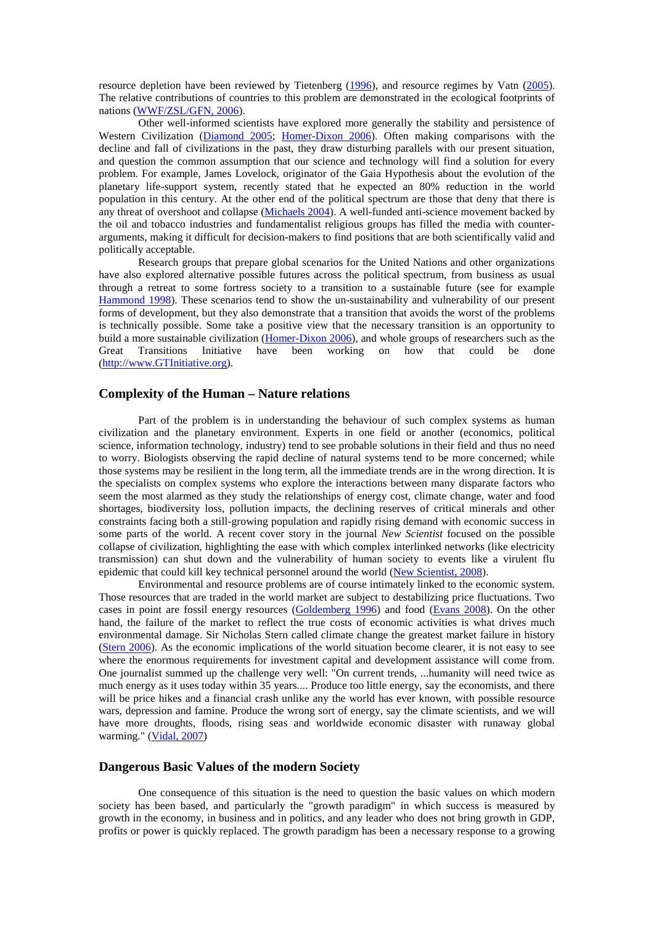resource depletion have been reviewed by Tietenberg [\(1996\)](http://www.bcca.org/ief/doc/ddahl08d.htm#Tietenberg1996), and resource regimes by Vatn [\(2005\)](http://www.bcca.org/ief/doc/ddahl08d.htm#Vatn2005). The relative contributions of countries to this problem are demonstrated in the ecological footprints of nations [\(WWF/ZSL/GFN, 2006\)](http://www.bcca.org/ief/doc/ddahl08d.htm#WWF2006).

Other well-informed scientists have explored more generally the stability and persistence of Western Civilization [\(Diamond 2005;](http://www.bcca.org/ief/doc/ddahl08d.htm#Diamond2005) [Homer-Dixon 2006\)](http://www.bcca.org/ief/doc/ddahl08d.htm#Homer-Dixon2006). Often making comparisons with the decline and fall of civilizations in the past, they draw disturbing parallels with our present situation, and question the common assumption that our science and technology will find a solution for every problem. For example, James Lovelock, originator of the Gaia Hypothesis about the evolution of the planetary life-support system, recently stated that he expected an 80% reduction in the world population in this century. At the other end of the political spectrum are those that deny that there is any threat of overshoot and collapse [\(Michaels 2004\)](http://www.bcca.org/ief/doc/ddahl08d.htm#Michaels2004). A well-funded anti-science movement backed by the oil and tobacco industries and fundamentalist religious groups has filled the media with counterarguments, making it difficult for decision-makers to find positions that are both scientifically valid and politically acceptable.

Research groups that prepare global scenarios for the United Nations and other organizations have also explored alternative possible futures across the political spectrum, from business as usual through a retreat to some fortress society to a transition to a sustainable future (see for example [Hammond 1998\)](http://www.bcca.org/ief/doc/ddahl08d.htm#Hammond1998). These scenarios tend to show the un-sustainability and vulnerability of our present forms of development, but they also demonstrate that a transition that avoids the worst of the problems is technically possible. Some take a positive view that the necessary transition is an opportunity to build a more sustainable civilization [\(Homer-Dixon 2006\)](http://www.bcca.org/ief/doc/ddahl08d.htm#Homer-Dixon2006), and whole groups of researchers such as the Great Transitions Initiative have been working on how that could be done [\(http://www.GTInitiative.org\)](http://www.gtinitiative.org/).

### **Complexity of the Human – Nature relations**

Part of the problem is in understanding the behaviour of such complex systems as human civilization and the planetary environment. Experts in one field or another (economics, political science, information technology, industry) tend to see probable solutions in their field and thus no need to worry. Biologists observing the rapid decline of natural systems tend to be more concerned; while those systems may be resilient in the long term, all the immediate trends are in the wrong direction. It is the specialists on complex systems who explore the interactions between many disparate factors who seem the most alarmed as they study the relationships of energy cost, climate change, water and food shortages, biodiversity loss, pollution impacts, the declining reserves of critical minerals and other constraints facing both a still-growing population and rapidly rising demand with economic success in some parts of the world. A recent cover story in the journal *New Scientist* focused on the possible collapse of civilization, highlighting the ease with which complex interlinked networks (like electricity transmission) can shut down and the vulnerability of human society to events like a virulent flu epidemic that could kill key technical personnel around the world [\(New Scientist, 2008\)](http://www.bcca.org/ief/doc/ddahl08d.htm#NewScientist2008).

Environmental and resource problems are of course intimately linked to the economic system. Those resources that are traded in the world market are subject to destabilizing price fluctuations. Two cases in point are fossil energy resources [\(Goldemberg 1996\)](http://www.bcca.org/ief/doc/ddahl08d.htm#Goldemberg1996) and food [\(Evans 2008\)](http://www.bcca.org/ief/doc/ddahl08d.htm#Evans2008). On the other hand, the failure of the market to reflect the true costs of economic activities is what drives much environmental damage. Sir Nicholas Stern called climate change the greatest market failure in history [\(Stern 2006\)](http://www.bcca.org/ief/doc/ddahl08d.htm#Stern2006). As the economic implications of the world situation become clearer, it is not easy to see where the enormous requirements for investment capital and development assistance will come from. One journalist summed up the challenge very well: "On current trends, ...humanity will need twice as much energy as it uses today within 35 years.... Produce too little energy, say the economists, and there will be price hikes and a financial crash unlike any the world has ever known, with possible resource wars, depression and famine. Produce the wrong sort of energy, say the climate scientists, and we will have more droughts, floods, rising seas and worldwide economic disaster with runaway global warming." [\(Vidal,](http://www.bcca.org/ief/doc/ddahl08d.htm#Vidal2007) 2007)

#### **Dangerous Basic Values of the modern Society**

One consequence of this situation is the need to question the basic values on which modern society has been based, and particularly the "growth paradigm" in which success is measured by growth in the economy, in business and in politics, and any leader who does not bring growth in GDP, profits or power is quickly replaced. The growth paradigm has been a necessary response to a growing